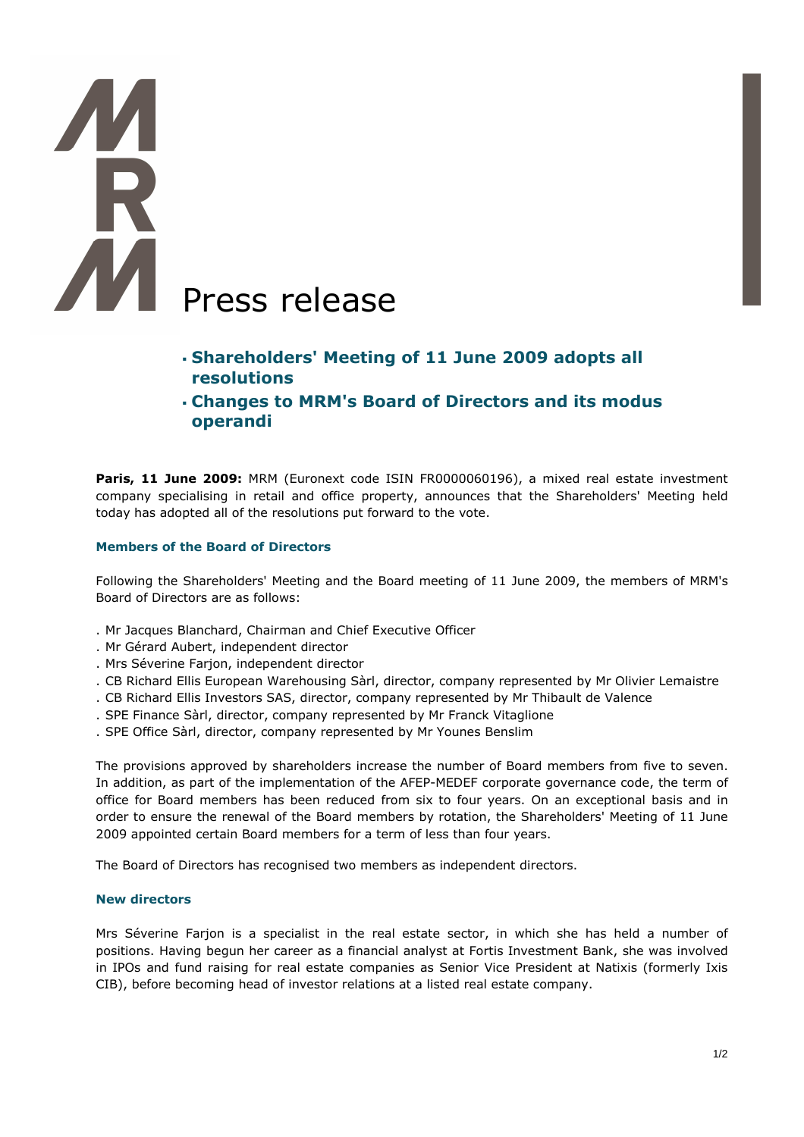# **MR** Press release

- **Shareholders' Meeting of 11 June 2009 adopts all resolutions**
- **Changes to MRM's Board of Directors and its modus operandi**

**Paris, 11 June 2009:** MRM (Euronext code ISIN FR0000060196), a mixed real estate investment company specialising in retail and office property, announces that the Shareholders' Meeting held today has adopted all of the resolutions put forward to the vote.

# **Members of the Board of Directors**

Following the Shareholders' Meeting and the Board meeting of 11 June 2009, the members of MRM's Board of Directors are as follows:

- . Mr Jacques Blanchard, Chairman and Chief Executive Officer
- . Mr Gérard Aubert, independent director
- . Mrs Séverine Farjon, independent director
- . CB Richard Ellis European Warehousing Sàrl, director, company represented by Mr Olivier Lemaistre
- . CB Richard Ellis Investors SAS, director, company represented by Mr Thibault de Valence
- . SPE Finance Sàrl, director, company represented by Mr Franck Vitaglione
- . SPE Office Sàrl, director, company represented by Mr Younes Benslim

The provisions approved by shareholders increase the number of Board members from five to seven. In addition, as part of the implementation of the AFEP-MEDEF corporate governance code, the term of office for Board members has been reduced from six to four years. On an exceptional basis and in order to ensure the renewal of the Board members by rotation, the Shareholders' Meeting of 11 June 2009 appointed certain Board members for a term of less than four years.

The Board of Directors has recognised two members as independent directors.

# **New directors**

Mrs Séverine Farjon is a specialist in the real estate sector, in which she has held a number of positions. Having begun her career as a financial analyst at Fortis Investment Bank, she was involved in IPOs and fund raising for real estate companies as Senior Vice President at Natixis (formerly Ixis CIB), before becoming head of investor relations at a listed real estate company.